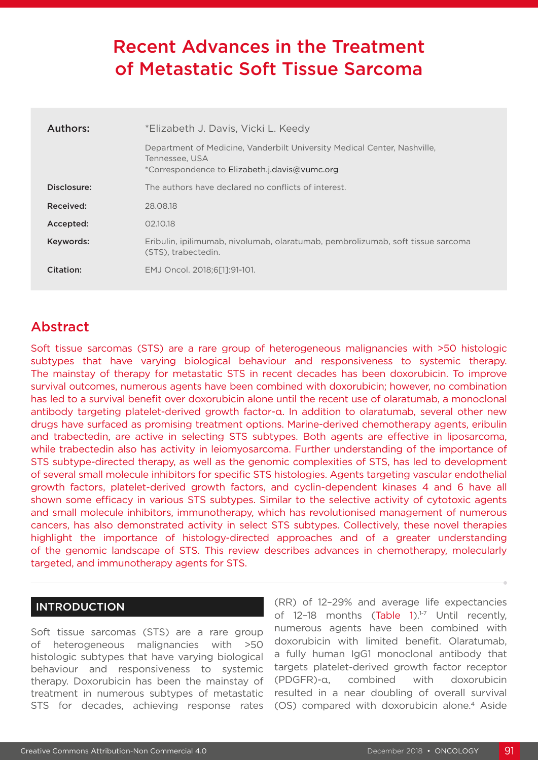# Recent Advances in the Treatment of Metastatic Soft Tissue Sarcoma

| Authors:    | *Elizabeth J. Davis, Vicki L. Keedy                                                                                                         |  |  |  |  |
|-------------|---------------------------------------------------------------------------------------------------------------------------------------------|--|--|--|--|
|             | Department of Medicine, Vanderbilt University Medical Center, Nashville,<br>Tennessee, USA<br>*Correspondence to Elizabeth.j.davis@vumc.org |  |  |  |  |
| Disclosure: | The authors have declared no conflicts of interest.                                                                                         |  |  |  |  |
| Received:   | 28.08.18                                                                                                                                    |  |  |  |  |
| Accepted:   | 02.10.18                                                                                                                                    |  |  |  |  |
| Keywords:   | Eribulin, ipilimumab, nivolumab, olaratumab, pembrolizumab, soft tissue sarcoma<br>(STS), trabectedin.                                      |  |  |  |  |
| Citation:   | EMJ Oncol. 2018:6[11:91-101.                                                                                                                |  |  |  |  |

## Abstract

Soft tissue sarcomas (STS) are a rare group of heterogeneous malignancies with >50 histologic subtypes that have varying biological behaviour and responsiveness to systemic therapy. The mainstay of therapy for metastatic STS in recent decades has been doxorubicin. To improve survival outcomes, numerous agents have been combined with doxorubicin; however, no combination has led to a survival benefit over doxorubicin alone until the recent use of olaratumab, a monoclonal antibody targeting platelet-derived growth factor-α. In addition to olaratumab, several other new drugs have surfaced as promising treatment options. Marine-derived chemotherapy agents, eribulin and trabectedin, are active in selecting STS subtypes. Both agents are effective in liposarcoma, while trabectedin also has activity in leiomyosarcoma. Further understanding of the importance of STS subtype-directed therapy, as well as the genomic complexities of STS, has led to development of several small molecule inhibitors for specific STS histologies. Agents targeting vascular endothelial growth factors, platelet-derived growth factors, and cyclin-dependent kinases 4 and 6 have all shown some efficacy in various STS subtypes. Similar to the selective activity of cytotoxic agents and small molecule inhibitors, immunotherapy, which has revolutionised management of numerous cancers, has also demonstrated activity in select STS subtypes. Collectively, these novel therapies highlight the importance of histology-directed approaches and of a greater understanding of the genomic landscape of STS. This review describes advances in chemotherapy, molecularly targeted, and immunotherapy agents for STS.

## INTRODUCTION

Soft tissue sarcomas (STS) are a rare group of heterogeneous malignancies with >50 histologic subtypes that have varying biological behaviour and responsiveness to systemic therapy. Doxorubicin has been the mainstay of treatment in numerous subtypes of metastatic STS for decades, achieving response rates (RR) of 12–29% and average life expectancies of 12-18 months (Table 1).<sup>1-7</sup> Until recently, numerous agents have been combined with doxorubicin with limited benefit. Olaratumab, a fully human IgG1 monoclonal antibody that targets platelet-derived growth factor receptor (PDGFR)-α, combined with doxorubicin resulted in a near doubling of overall survival (OS) compared with doxorubicin alone.4 Aside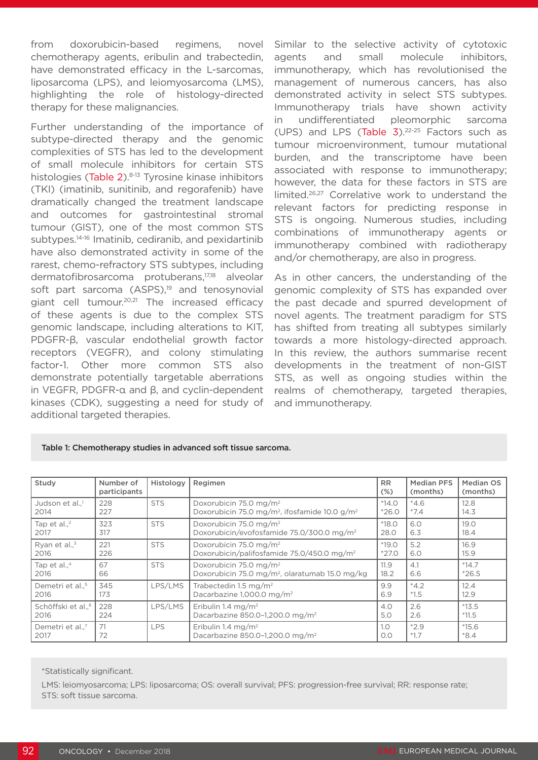from doxorubicin-based regimens, novel chemotherapy agents, eribulin and trabectedin, have demonstrated efficacy in the L-sarcomas, liposarcoma (LPS), and leiomyosarcoma (LMS), highlighting the role of histology-directed therapy for these malignancies.

Further understanding of the importance of subtype-directed therapy and the genomic complexities of STS has led to the development of small molecule inhibitors for certain STS histologies (Table 2).<sup>8-13</sup> Tyrosine kinase inhibitors (TKI) (imatinib, sunitinib, and regorafenib) have dramatically changed the treatment landscape and outcomes for gastrointestinal stromal tumour (GIST), one of the most common STS subtypes.<sup>14-16</sup> Imatinib, cediranib, and pexidartinib have also demonstrated activity in some of the rarest, chemo-refractory STS subtypes, including dermatofibrosarcoma protuberans,17,18 alveolar soft part sarcoma (ASPS),<sup>19</sup> and tenosynovial giant cell tumour.20,21 The increased efficacy of these agents is due to the complex STS genomic landscape, including alterations to KIT, PDGFR-β, vascular endothelial growth factor receptors (VEGFR), and colony stimulating factor-1. Other more common STS also demonstrate potentially targetable aberrations in VEGFR, PDGFR-α and β, and cyclin-dependent kinases (CDK), suggesting a need for study of additional targeted therapies.

Similar to the selective activity of cytotoxic agents and small molecule inhibitors, immunotherapy, which has revolutionised the management of numerous cancers, has also demonstrated activity in select STS subtypes. Immunotherapy trials have shown activity in undifferentiated pleomorphic sarcoma (UPS) and LPS (Table  $3$ ).<sup>22-25</sup> Factors such as tumour microenvironment, tumour mutational burden, and the transcriptome have been associated with response to immunotherapy; however, the data for these factors in STS are limited.26,27 Correlative work to understand the relevant factors for predicting response in STS is ongoing. Numerous studies, including combinations of immunotherapy agents or immunotherapy combined with radiotherapy and/or chemotherapy, are also in progress.

As in other cancers, the understanding of the genomic complexity of STS has expanded over the past decade and spurred development of novel agents. The treatment paradigm for STS has shifted from treating all subtypes similarly towards a more histology-directed approach. In this review, the authors summarise recent developments in the treatment of non-GIST STS, as well as ongoing studies within the realms of chemotherapy, targeted therapies, and immunotherapy.

| Study                               | Number of<br>participants | Histology  | Regimen                                                                                                                           |         | <b>Median PFS</b><br>(months) | Median OS<br>(months) |
|-------------------------------------|---------------------------|------------|-----------------------------------------------------------------------------------------------------------------------------------|---------|-------------------------------|-----------------------|
| Judson et al., <sup>1</sup><br>2014 | 228<br>227                | <b>STS</b> | Doxorubicin 75.0 mg/m <sup>2</sup><br>$*14.0$<br>Doxorubicin 75.0 mg/m <sup>2</sup> , ifosfamide 10.0 g/m <sup>2</sup><br>$*26.0$ |         | $*4.6$<br>$*7.4$              | 12.8<br>14.3          |
| Tap et al., $2$                     | 323                       | <b>STS</b> | Doxorubicin 75.0 mg/m <sup>2</sup>                                                                                                | $*18.0$ | 6.0                           | 19.0                  |
| 2017                                | 317                       |            | Doxorubicin/evofosfamide 75.0/300.0 mg/m <sup>2</sup>                                                                             | 28.0    | 6.3                           | 18.4                  |
| Ryan et al., <sup>3</sup>           | 221                       | <b>STS</b> | Doxorubicin 75.0 mg/m <sup>2</sup>                                                                                                | $*19.0$ | 5.2                           | 16.9                  |
| 2016                                | 226                       |            | Doxorubicin/palifosfamide 75.0/450.0 mg/m <sup>2</sup>                                                                            | $*27.0$ | 6.0                           | 15.9                  |
| Tap et al., $4$                     | 67                        | <b>STS</b> | Doxorubicin 75.0 mg/m <sup>2</sup>                                                                                                | 11.9    | 4.1                           | $*14.7$               |
| 2016                                | 66                        |            | Doxorubicin 75.0 mg/m <sup>2</sup> , olaratumab 15.0 mg/kg                                                                        | 18.2    | 6.6                           | $*26.5$               |
| Demetri et al <sup>5</sup>          | 345                       | LPS/LMS    | Trabectedin 1.5 mg/m <sup>2</sup>                                                                                                 | 9.9     | $*4.2$                        | 12.4                  |
| 2016                                | 173                       |            | Dacarbazine 1,000.0 mg/m <sup>2</sup>                                                                                             | 6.9     | $*1.5$                        | 12.9                  |
| Schöffski et al., <sup>6</sup>      | 228                       | LPS/LMS    | Eribulin 1.4 mg/m <sup>2</sup>                                                                                                    | 4.0     | 2.6                           | $*13.5$               |
| 2016                                | 224                       |            | Dacarbazine 850.0-1,200.0 mg/m <sup>2</sup>                                                                                       | 5.0     | 2.6                           | $*11.5$               |
| Demetri et al <sup>7</sup>          | 71                        | <b>LPS</b> | Eribulin 1.4 mg/m <sup>2</sup>                                                                                                    | 1.0     | $*2.9$                        | $*15.6$               |
| 2017                                | 72                        |            | Dacarbazine 850.0-1.200.0 mg/m <sup>2</sup>                                                                                       | 0.0     | $*1.7$                        | $*8.4$                |

#### Table 1: Chemotherapy studies in advanced soft tissue sarcoma.

\*Statistically significant.

LMS: leiomyosarcoma; LPS: liposarcoma; OS: overall survival; PFS: progression-free survival; RR: response rate; STS: soft tissue sarcoma.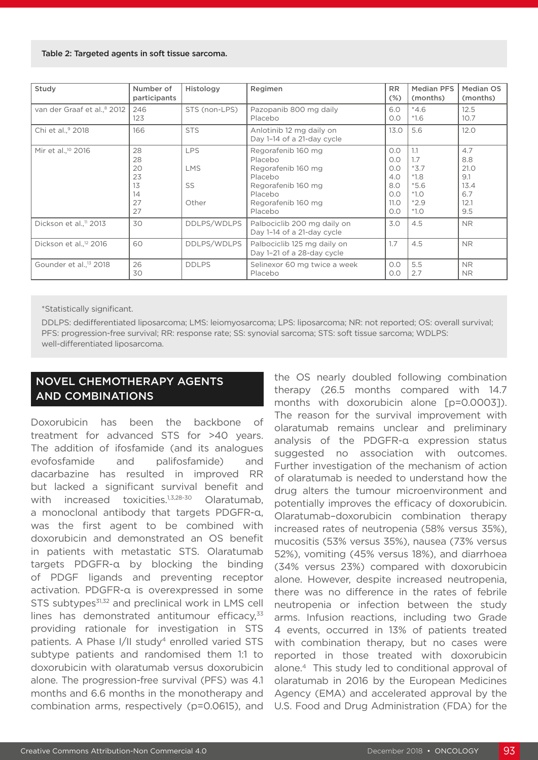#### Table 2: Targeted agents in soft tissue sarcoma.

| Study                                   | Number of<br>participants                    | Histology                               | Regimen                                                                                                                          | <b>RR</b><br>$(\%)$                                   | <b>Median PFS</b><br>(months)                                          | Median OS<br>(months)                                   |
|-----------------------------------------|----------------------------------------------|-----------------------------------------|----------------------------------------------------------------------------------------------------------------------------------|-------------------------------------------------------|------------------------------------------------------------------------|---------------------------------------------------------|
| van der Graaf et al., <sup>8</sup> 2012 | 246<br>123                                   | STS (non-LPS)                           | Pazopanib 800 mg daily<br>Placebo                                                                                                | 6.0<br>O.O                                            | $*4.6$<br>$*1.6$                                                       | 12.5<br>10.7                                            |
| Chi et al., <sup>9</sup> 2018           | 166                                          | <b>STS</b>                              | Anlotinib 12 mg daily on<br>Day 1-14 of a 21-day cycle                                                                           | 13.0                                                  | 5.6                                                                    | 12.0                                                    |
| Mir et al., <sup>10</sup> 2016          | 28<br>28<br>20<br>23<br>13<br>14<br>27<br>27 | <b>LPS</b><br><b>LMS</b><br>SS<br>Other | Regorafenib 160 mg<br>Placebo<br>Regorafenib 160 mg<br>Placebo<br>Regorafenib 160 mg<br>Placebo<br>Regorafenib 160 mg<br>Placebo | O.O<br>O.O<br>O.O<br>4.0<br>8.0<br>O.O<br>11.0<br>O.O | 1.1<br>1.7<br>$*3.7$<br>$*1.8$<br>$*5.6$<br>$*1.0$<br>$*2.9$<br>$*1.0$ | 4.7<br>8.8<br>21.0<br>9.1<br>13.4<br>6.7<br>12.1<br>9.5 |
| Dickson et al., <sup>11</sup> 2013      | 30                                           | DDLPS/WDLPS                             | Palbociclib 200 mg daily on<br>Day 1-14 of a 21-day cycle                                                                        | 3.0                                                   | 4.5                                                                    | <b>NR</b>                                               |
| Dickson et al., <sup>12</sup> 2016      | 60                                           | DDLPS/WDLPS                             | Palbociclib 125 mg daily on<br>Day 1-21 of a 28-day cycle                                                                        | 1.7                                                   | 4.5                                                                    | <b>NR</b>                                               |
| Gounder et al., <sup>13</sup> 2018      | 26<br>30                                     | <b>DDLPS</b>                            | Selinexor 60 mg twice a week<br>Placebo                                                                                          | O.O<br>O.O                                            | 5.5<br>2.7                                                             | <b>NR</b><br><b>NR</b>                                  |

\*Statistically significant.

DDLPS: dedifferentiated liposarcoma; LMS: leiomyosarcoma; LPS: liposarcoma; NR: not reported; OS: overall survival; PFS: progression-free survival; RR: response rate; SS: synovial sarcoma; STS: soft tissue sarcoma; WDLPS: well-differentiated liposarcoma.

## NOVEL CHEMOTHERAPY AGENTS AND COMBINATIONS

Doxorubicin has been the backbone of treatment for advanced STS for >40 years. The addition of ifosfamide (and its analogues evofosfamide and palifosfamide) and dacarbazine has resulted in improved RR but lacked a significant survival benefit and with increased toxicities.<sup>1,3,28-30</sup> Olaratumab, a monoclonal antibody that targets PDGFR-α, was the first agent to be combined with doxorubicin and demonstrated an OS benefit in patients with metastatic STS. Olaratumab targets PDGFR-α by blocking the binding of PDGF ligands and preventing receptor activation. PDGFR-α is overexpressed in some STS subtypes $31,32$  and preclinical work in LMS cell lines has demonstrated antitumour efficacy, $33$ providing rationale for investigation in STS patients. A Phase I/II study<sup>4</sup> enrolled varied STS subtype patients and randomised them 1:1 to doxorubicin with olaratumab versus doxorubicin alone. The progression-free survival (PFS) was 4.1 months and 6.6 months in the monotherapy and combination arms, respectively (p=0.0615), and

the OS nearly doubled following combination therapy (26.5 months compared with 14.7 months with doxorubicin alone [p=0.0003]). The reason for the survival improvement with olaratumab remains unclear and preliminary analysis of the PDGFR-α expression status suggested no association with outcomes. Further investigation of the mechanism of action of olaratumab is needed to understand how the drug alters the tumour microenvironment and potentially improves the efficacy of doxorubicin. Olaratumab–doxorubicin combination therapy increased rates of neutropenia (58% versus 35%), mucositis (53% versus 35%), nausea (73% versus 52%), vomiting (45% versus 18%), and diarrhoea (34% versus 23%) compared with doxorubicin alone. However, despite increased neutropenia, there was no difference in the rates of febrile neutropenia or infection between the study arms. Infusion reactions, including two Grade 4 events, occurred in 13% of patients treated with combination therapy, but no cases were reported in those treated with doxorubicin alone.4 This study led to conditional approval of olaratumab in 2016 by the European Medicines Agency (EMA) and accelerated approval by the U.S. Food and Drug Administration (FDA) for the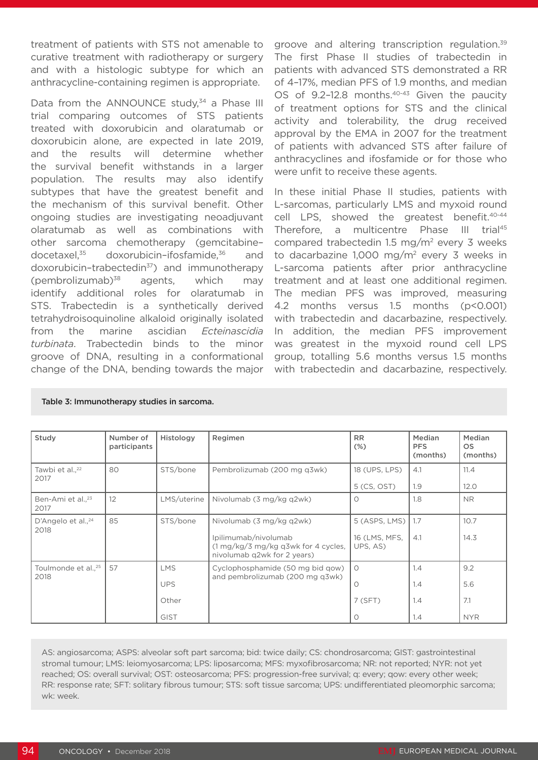treatment of patients with STS not amenable to curative treatment with radiotherapy or surgery and with a histologic subtype for which an anthracycline-containing regimen is appropriate.

Data from the ANNOUNCE study,<sup>34</sup> a Phase III trial comparing outcomes of STS patients treated with doxorubicin and olaratumab or doxorubicin alone, are expected in late 2019, and the results will determine whether the survival benefit withstands in a larger population. The results may also identify subtypes that have the greatest benefit and the mechanism of this survival benefit. Other ongoing studies are investigating neoadjuvant olaratumab as well as combinations with other sarcoma chemotherapy (gemcitabine– docetaxel,<sup>35</sup> doxorubicin–ifosfamide,<sup>36</sup> and doxorubicin–trabectedin37) and immunotherapy (pembrolizumab) $38$  agents, which may identify additional roles for olaratumab in STS. Trabectedin is a synthetically derived tetrahydroisoquinoline alkaloid originally isolated from the marine ascidian *Ecteinascidia turbinata*. Trabectedin binds to the minor groove of DNA, resulting in a conformational change of the DNA, bending towards the major

groove and altering transcription regulation.<sup>39</sup> The first Phase II studies of trabectedin in patients with advanced STS demonstrated a RR of 4–17%, median PFS of 1.9 months, and median OS of 9.2-12.8 months.<sup>40-43</sup> Given the paucity of treatment options for STS and the clinical activity and tolerability, the drug received approval by the EMA in 2007 for the treatment of patients with advanced STS after failure of anthracyclines and ifosfamide or for those who were unfit to receive these agents.

In these initial Phase II studies, patients with L-sarcomas, particularly LMS and myxoid round cell LPS, showed the greatest benefit.<sup>40-44</sup> Therefore, a multicentre Phase III trial<sup>45</sup> compared trabectedin 1.5 mg/m2 every 3 weeks to dacarbazine 1,000 mg/m2 every 3 weeks in L-sarcoma patients after prior anthracycline treatment and at least one additional regimen. The median PFS was improved, measuring 4.2 months versus 1.5 months (p<0.001) with trabectedin and dacarbazine, respectively. In addition, the median PFS improvement was greatest in the myxoid round cell LPS group, totalling 5.6 months versus 1.5 months with trabectedin and dacarbazine, respectively.

| Study                                   | Number of<br>participants | Histology                                        | Regimen                                                                                                                                        | <b>RR</b><br>$(\%)$                        | Median<br><b>PFS</b><br>(months) | Median<br>OS.<br>(months)       |
|-----------------------------------------|---------------------------|--------------------------------------------------|------------------------------------------------------------------------------------------------------------------------------------------------|--------------------------------------------|----------------------------------|---------------------------------|
| Tawbi et al., <sup>22</sup><br>2017     | 80                        | STS/bone                                         | Pembrolizumab (200 mg q3wk)                                                                                                                    | 18 (UPS, LPS)<br>5 (CS, OST)               | 4.1<br>1.9                       | 11.4<br>12.0                    |
| Ben-Ami et al., <sup>23</sup><br>2017   | 12                        | LMS/uterine                                      | Nivolumab (3 mg/kg q2wk)                                                                                                                       | Ω                                          | 1.8                              | <b>NR</b>                       |
| D'Angelo et al., <sup>24</sup><br>2018  | 85                        | STS/bone                                         | Nivolumab (3 mg/kg q2wk)<br>Ipilimumab/nivolumab<br>$(1 \,\mathrm{mg/kg}/3 \,\mathrm{mg/kg}$ g3wk for 4 cycles,<br>nivolumab q2wk for 2 years) | 5 (ASPS, LMS)<br>16 (LMS, MFS,<br>UPS, AS) | 1.7<br>4.1                       | 10.7<br>14.3                    |
| Toulmonde et al., <sup>25</sup><br>2018 | 57                        | <b>LMS</b><br><b>UPS</b><br>Other<br><b>GIST</b> | Cyclophosphamide (50 mg bid gow)<br>and pembrolizumab (200 mg q3wk)                                                                            | $\Omega$<br>Ο<br>7(SFT)<br>O               | 1.4<br>1.4<br>1.4<br>1.4         | 9.2<br>5.6<br>7.1<br><b>NYR</b> |

Table 3: Immunotherapy studies in sarcoma.

AS: angiosarcoma; ASPS: alveolar soft part sarcoma; bid: twice daily; CS: chondrosarcoma; GIST: gastrointestinal stromal tumour; LMS: leiomyosarcoma; LPS: liposarcoma; MFS: myxofibrosarcoma; NR: not reported; NYR: not yet reached; OS: overall survival; OST: osteosarcoma; PFS: progression-free survival; q: every; qow: every other week; RR: response rate; SFT: solitary fibrous tumour; STS: soft tissue sarcoma; UPS: undifferentiated pleomorphic sarcoma; wk: week.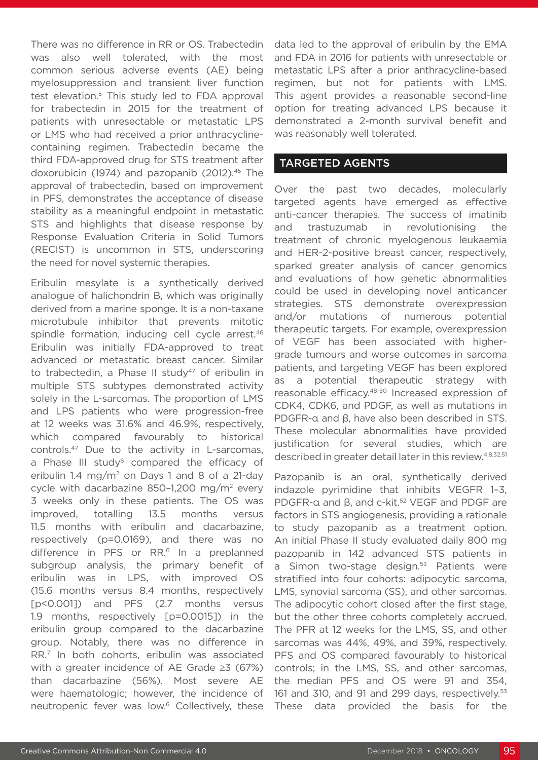There was no difference in RR or OS. Trabectedin was also well tolerated, with the most common serious adverse events (AE) being myelosuppression and transient liver function test elevation.<sup>5</sup> This study led to FDA approval for trabectedin in 2015 for the treatment of patients with unresectable or metastatic LPS or LMS who had received a prior anthracyclinecontaining regimen. Trabectedin became the third FDA-approved drug for STS treatment after doxorubicin (1974) and pazopanib (2012).<sup>45</sup> The approval of trabectedin, based on improvement in PFS, demonstrates the acceptance of disease stability as a meaningful endpoint in metastatic STS and highlights that disease response by Response Evaluation Criteria in Solid Tumors (RECIST) is uncommon in STS, underscoring the need for novel systemic therapies.

Eribulin mesylate is a synthetically derived analogue of halichondrin B, which was originally derived from a marine sponge. It is a non-taxane microtubule inhibitor that prevents mitotic spindle formation, inducing cell cycle arrest.<sup>46</sup> Eribulin was initially FDA-approved to treat advanced or metastatic breast cancer. Similar to trabectedin, a Phase II study<sup>47</sup> of eribulin in multiple STS subtypes demonstrated activity solely in the L-sarcomas. The proportion of LMS and LPS patients who were progression-free at 12 weeks was 31.6% and 46.9%, respectively, which compared favourably to historical controls.47 Due to the activity in L-sarcomas, a Phase III study<sup>6</sup> compared the efficacy of eribulin 1.4 mg/m<sup>2</sup> on Days 1 and 8 of a 21-day cycle with dacarbazine 850–1,200 mg/m2 every 3 weeks only in these patients. The OS was improved, totalling 13.5 months versus 11.5 months with eribulin and dacarbazine, respectively (p=0.0169), and there was no difference in PFS or RR.<sup>6</sup> In a preplanned subgroup analysis, the primary benefit of eribulin was in LPS, with improved OS (15.6 months versus 8.4 months, respectively [p<0.001]) and PFS (2.7 months versus 1.9 months, respectively [p=0.0015]) in the eribulin group compared to the dacarbazine group. Notably, there was no difference in RR.7 In both cohorts, eribulin was associated with a greater incidence of AE Grade ≥3 (67%) than dacarbazine (56%). Most severe AE were haematologic; however, the incidence of neutropenic fever was low.<sup>6</sup> Collectively, these

data led to the approval of eribulin by the EMA and FDA in 2016 for patients with unresectable or metastatic LPS after a prior anthracycline-based regimen, but not for patients with LMS. This agent provides a reasonable second-line option for treating advanced LPS because it demonstrated a 2-month survival benefit and was reasonably well tolerated.

#### TARGETED AGENTS

Over the past two decades, molecularly targeted agents have emerged as effective anti-cancer therapies. The success of imatinib and trastuzumab in revolutionising the treatment of chronic myelogenous leukaemia and HER-2-positive breast cancer, respectively, sparked greater analysis of cancer genomics and evaluations of how genetic abnormalities could be used in developing novel anticancer strategies. STS demonstrate overexpression and/or mutations of numerous potential therapeutic targets. For example, overexpression of VEGF has been associated with highergrade tumours and worse outcomes in sarcoma patients, and targeting VEGF has been explored as a potential therapeutic strategy with reasonable efficacy.48-50 Increased expression of CDK4, CDK6, and PDGF, as well as mutations in PDGFR-α and β, have also been described in STS. These molecular abnormalities have provided justification for several studies, which are described in greater detail later in this review.<sup>4,8,32,51</sup>

Pazopanib is an oral, synthetically derived indazole pyrimidine that inhibits VEGFR 1–3, PDGFR-α and β, and c-kit.<sup>52</sup> VEGF and PDGF are factors in STS angiogenesis, providing a rationale to study pazopanib as a treatment option. An initial Phase II study evaluated daily 800 mg pazopanib in 142 advanced STS patients in a Simon two-stage design.<sup>53</sup> Patients were stratified into four cohorts: adipocytic sarcoma, LMS, synovial sarcoma (SS), and other sarcomas. The adipocytic cohort closed after the first stage, but the other three cohorts completely accrued. The PFR at 12 weeks for the LMS, SS, and other sarcomas was 44%, 49%, and 39%, respectively. PFS and OS compared favourably to historical controls; in the LMS, SS, and other sarcomas, the median PFS and OS were 91 and 354, 161 and 310, and 91 and 299 days, respectively.<sup>53</sup> These data provided the basis for the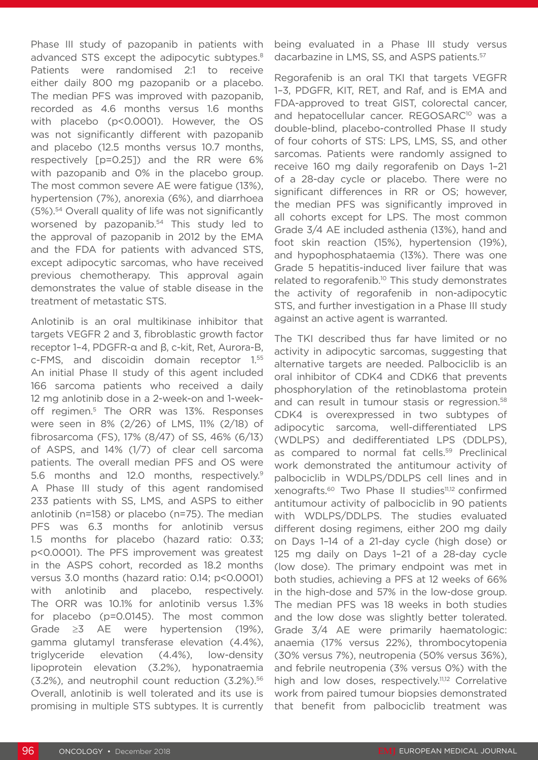Phase III study of pazopanib in patients with advanced STS except the adipocytic subtypes.<sup>8</sup> Patients were randomised 2:1 to receive either daily 800 mg pazopanib or a placebo. The median PFS was improved with pazopanib, recorded as 4.6 months versus 1.6 months with placebo (p<0.0001). However, the OS was not significantly different with pazopanib and placebo (12.5 months versus 10.7 months, respectively [p=0.25]) and the RR were 6% with pazopanib and 0% in the placebo group. The most common severe AE were fatigue (13%), hypertension (7%), anorexia (6%), and diarrhoea (5%).54 Overall quality of life was not significantly worsened by pazopanib.<sup>54</sup> This study led to the approval of pazopanib in 2012 by the EMA and the FDA for patients with advanced STS, except adipocytic sarcomas, who have received previous chemotherapy. This approval again demonstrates the value of stable disease in the treatment of metastatic STS.

Anlotinib is an oral multikinase inhibitor that targets VEGFR 2 and 3, fibroblastic growth factor receptor 1–4, PDGFR-α and β, c-kit, Ret, Aurora-B, c-FMS, and discoidin domain receptor 1.55 An initial Phase II study of this agent included 166 sarcoma patients who received a daily 12 mg anlotinib dose in a 2-week-on and 1-weekoff regimen.<sup>5</sup> The ORR was 13%. Responses were seen in 8% (2/26) of LMS, 11% (2/18) of fibrosarcoma (FS), 17% (8/47) of SS, 46% (6/13) of ASPS, and 14% (1/7) of clear cell sarcoma patients. The overall median PFS and OS were 5.6 months and 12.0 months, respectively.<sup>9</sup> A Phase III study of this agent randomised 233 patients with SS, LMS, and ASPS to either anlotinib (n=158) or placebo (n=75). The median PFS was 6.3 months for anlotinib versus 1.5 months for placebo (hazard ratio: 0.33; p<0.0001). The PFS improvement was greatest in the ASPS cohort, recorded as 18.2 months versus 3.0 months (hazard ratio: 0.14; p<0.0001) with anlotinib and placebo, respectively. The ORR was 10.1% for anlotinib versus 1.3% for placebo (p=0.0145). The most common Grade ≥3 AE were hypertension (19%), gamma glutamyl transferase elevation (4.4%), triglyceride elevation (4.4%), low-density lipoprotein elevation (3.2%), hyponatraemia (3.2%), and neutrophil count reduction (3.2%).56 Overall, anlotinib is well tolerated and its use is promising in multiple STS subtypes. It is currently

being evaluated in a Phase III study versus dacarbazine in LMS, SS, and ASPS patients.<sup>57</sup>

Regorafenib is an oral TKI that targets VEGFR 1–3, PDGFR, KIT, RET, and Raf, and is EMA and FDA-approved to treat GIST, colorectal cancer, and hepatocellular cancer. REGOSARC<sup>10</sup> was a double-blind, placebo-controlled Phase II study of four cohorts of STS: LPS, LMS, SS, and other sarcomas. Patients were randomly assigned to receive 160 mg daily regorafenib on Days 1–21 of a 28-day cycle or placebo. There were no significant differences in RR or OS; however, the median PFS was significantly improved in all cohorts except for LPS. The most common Grade 3/4 AE included asthenia (13%), hand and foot skin reaction (15%), hypertension (19%), and hypophosphataemia (13%). There was one Grade 5 hepatitis-induced liver failure that was related to regorafenib.<sup>10</sup> This study demonstrates the activity of regorafenib in non-adipocytic STS, and further investigation in a Phase III study against an active agent is warranted.

The TKI described thus far have limited or no activity in adipocytic sarcomas, suggesting that alternative targets are needed. Palbociclib is an oral inhibitor of CDK4 and CDK6 that prevents phosphorylation of the retinoblastoma protein and can result in tumour stasis or regression.<sup>58</sup> CDK4 is overexpressed in two subtypes of adipocytic sarcoma, well-differentiated LPS (WDLPS) and dedifferentiated LPS (DDLPS), as compared to normal fat cells.<sup>59</sup> Preclinical work demonstrated the antitumour activity of palbociclib in WDLPS/DDLPS cell lines and in xenografts.60 Two Phase II studies11,12 confirmed antitumour activity of palbociclib in 90 patients with WDLPS/DDLPS. The studies evaluated different dosing regimens, either 200 mg daily on Days 1–14 of a 21-day cycle (high dose) or 125 mg daily on Days 1–21 of a 28-day cycle (low dose). The primary endpoint was met in both studies, achieving a PFS at 12 weeks of 66% in the high-dose and 57% in the low-dose group. The median PFS was 18 weeks in both studies and the low dose was slightly better tolerated. Grade 3/4 AE were primarily haematologic: anaemia (17% versus 22%), thrombocytopenia (30% versus 7%), neutropenia (50% versus 36%), and febrile neutropenia (3% versus 0%) with the high and low doses, respectively.<sup>11,12</sup> Correlative work from paired tumour biopsies demonstrated that benefit from palbociclib treatment was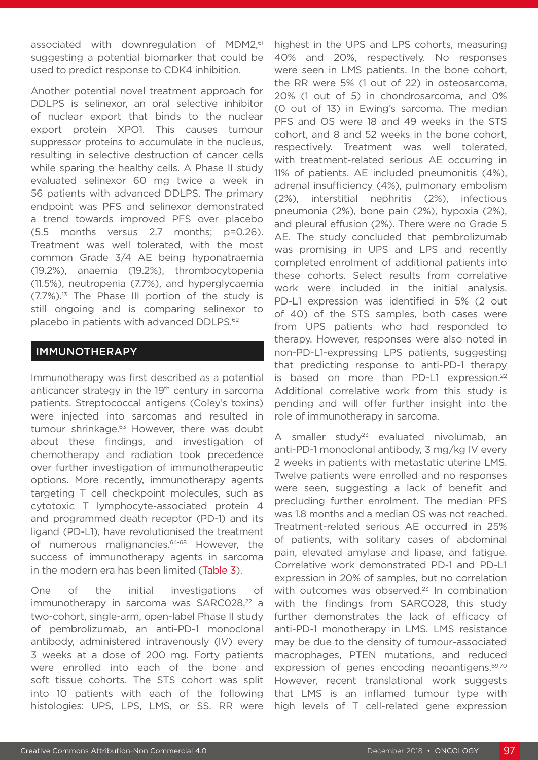associated with downregulation of MDM2,<sup>61</sup> suggesting a potential biomarker that could be used to predict response to CDK4 inhibition.

Another potential novel treatment approach for DDLPS is selinexor, an oral selective inhibitor of nuclear export that binds to the nuclear export protein XPO1. This causes tumour suppressor proteins to accumulate in the nucleus, resulting in selective destruction of cancer cells while sparing the healthy cells. A Phase II study evaluated selinexor 60 mg twice a week in 56 patients with advanced DDLPS. The primary endpoint was PFS and selinexor demonstrated a trend towards improved PFS over placebo (5.5 months versus 2.7 months; p=0.26). Treatment was well tolerated, with the most common Grade 3/4 AE being hyponatraemia (19.2%), anaemia (19.2%), thrombocytopenia (11.5%), neutropenia (7.7%), and hyperglycaemia  $(7.7\%)$ <sup>13</sup> The Phase III portion of the study is still ongoing and is comparing selinexor to placebo in patients with advanced DDLPS.<sup>62</sup>

### IMMUNOTHERAPY

Immunotherapy was first described as a potential anticancer strategy in the 19<sup>th</sup> century in sarcoma patients. Streptococcal antigens (Coley's toxins) were injected into sarcomas and resulted in tumour shrinkage.<sup>63</sup> However, there was doubt about these findings, and investigation of chemotherapy and radiation took precedence over further investigation of immunotherapeutic options. More recently, immunotherapy agents targeting T cell checkpoint molecules, such as cytotoxic T lymphocyte-associated protein 4 and programmed death receptor (PD-1) and its ligand (PD-L1), have revolutionised the treatment of numerous malignancies.64-68 However, the success of immunotherapy agents in sarcoma in the modern era has been limited (Table 3).

One of the initial investigations of immunotherapy in sarcoma was SARC028,<sup>22</sup> a two-cohort, single-arm, open-label Phase II study of pembrolizumab, an anti-PD-1 monoclonal antibody, administered intravenously (IV) every 3 weeks at a dose of 200 mg. Forty patients were enrolled into each of the bone and soft tissue cohorts. The STS cohort was split into 10 patients with each of the following histologies: UPS, LPS, LMS, or SS. RR were

highest in the UPS and LPS cohorts, measuring 40% and 20%, respectively. No responses were seen in LMS patients. In the bone cohort, the RR were 5% (1 out of 22) in osteosarcoma, 20% (1 out of 5) in chondrosarcoma, and 0% (0 out of 13) in Ewing's sarcoma. The median PFS and OS were 18 and 49 weeks in the STS cohort, and 8 and 52 weeks in the bone cohort, respectively. Treatment was well tolerated, with treatment-related serious AE occurring in 11% of patients. AE included pneumonitis (4%), adrenal insufficiency (4%), pulmonary embolism (2%), interstitial nephritis (2%), infectious pneumonia (2%), bone pain (2%), hypoxia (2%), and pleural effusion (2%). There were no Grade 5 AE. The study concluded that pembrolizumab was promising in UPS and LPS and recently completed enrolment of additional patients into these cohorts. Select results from correlative work were included in the initial analysis. PD-L1 expression was identified in 5% (2 out of 40) of the STS samples, both cases were from UPS patients who had responded to therapy. However, responses were also noted in non-PD-L1-expressing LPS patients, suggesting that predicting response to anti-PD-1 therapy is based on more than PD-L1 expression.<sup>22</sup> Additional correlative work from this study is pending and will offer further insight into the role of immunotherapy in sarcoma.

A smaller study<sup>23</sup> evaluated nivolumab, an anti-PD-1 monoclonal antibody, 3 mg/kg IV every 2 weeks in patients with metastatic uterine LMS. Twelve patients were enrolled and no responses were seen, suggesting a lack of benefit and precluding further enrolment. The median PFS was 1.8 months and a median OS was not reached. Treatment-related serious AE occurred in 25% of patients, with solitary cases of abdominal pain, elevated amylase and lipase, and fatigue. Correlative work demonstrated PD-1 and PD-L1 expression in 20% of samples, but no correlation with outcomes was observed.<sup>23</sup> In combination with the findings from SARC028, this study further demonstrates the lack of efficacy of anti-PD-1 monotherapy in LMS. LMS resistance may be due to the density of tumour-associated macrophages, PTEN mutations, and reduced expression of genes encoding neoantigens.<sup>69,70</sup> However, recent translational work suggests that LMS is an inflamed tumour type with high levels of T cell-related gene expression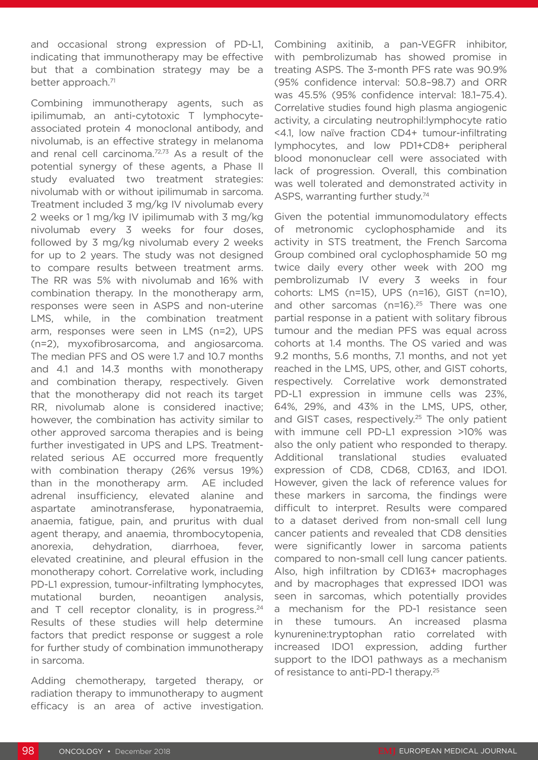and occasional strong expression of PD-L1, indicating that immunotherapy may be effective but that a combination strategy may be a better approach.<sup>71</sup>

Combining immunotherapy agents, such as ipilimumab, an anti-cytotoxic T lymphocyteassociated protein 4 monoclonal antibody, and nivolumab, is an effective strategy in melanoma and renal cell carcinoma.72,73 As a result of the potential synergy of these agents, a Phase II study evaluated two treatment strategies: nivolumab with or without ipilimumab in sarcoma. Treatment included 3 mg/kg IV nivolumab every 2 weeks or 1 mg/kg IV ipilimumab with 3 mg/kg nivolumab every 3 weeks for four doses, followed by 3 mg/kg nivolumab every 2 weeks for up to 2 years. The study was not designed to compare results between treatment arms. The RR was 5% with nivolumab and 16% with combination therapy. In the monotherapy arm, responses were seen in ASPS and non-uterine LMS, while, in the combination treatment arm, responses were seen in LMS (n=2), UPS (n=2), myxofibrosarcoma, and angiosarcoma. The median PFS and OS were 1.7 and 10.7 months and 4.1 and 14.3 months with monotherapy and combination therapy, respectively. Given that the monotherapy did not reach its target RR, nivolumab alone is considered inactive; however, the combination has activity similar to other approved sarcoma therapies and is being further investigated in UPS and LPS. Treatmentrelated serious AE occurred more frequently with combination therapy (26% versus 19%) than in the monotherapy arm. AE included adrenal insufficiency, elevated alanine and aspartate aminotransferase, hyponatraemia, anaemia, fatigue, pain, and pruritus with dual agent therapy, and anaemia, thrombocytopenia, anorexia, dehydration, diarrhoea, fever, elevated creatinine, and pleural effusion in the monotherapy cohort. Correlative work, including PD-L1 expression, tumour-infiltrating lymphocytes, mutational burden, neoantigen analysis, and  $T$  cell receptor clonality, is in progress.<sup>24</sup> Results of these studies will help determine factors that predict response or suggest a role for further study of combination immunotherapy in sarcoma.

Adding chemotherapy, targeted therapy, or radiation therapy to immunotherapy to augment efficacy is an area of active investigation. Combining axitinib, a pan-VEGFR inhibitor, with pembrolizumab has showed promise in treating ASPS. The 3-month PFS rate was 90.9% (95% confidence interval: 50.8–98.7) and ORR was 45.5% (95% confidence interval: 18.1–75.4). Correlative studies found high plasma angiogenic activity, a circulating neutrophil:lymphocyte ratio <4.1, low naïve fraction CD4+ tumour-infiltrating lymphocytes, and low PD1+CD8+ peripheral blood mononuclear cell were associated with lack of progression. Overall, this combination was well tolerated and demonstrated activity in ASPS, warranting further study.<sup>74</sup>

Given the potential immunomodulatory effects of metronomic cyclophosphamide and its activity in STS treatment, the French Sarcoma Group combined oral cyclophosphamide 50 mg twice daily every other week with 200 mg pembrolizumab IV every 3 weeks in four cohorts: LMS (n=15), UPS (n=16), GIST (n=10), and other sarcomas ( $n=16$ ).<sup>25</sup> There was one partial response in a patient with solitary fibrous tumour and the median PFS was equal across cohorts at 1.4 months. The OS varied and was 9.2 months, 5.6 months, 7.1 months, and not yet reached in the LMS, UPS, other, and GIST cohorts, respectively. Correlative work demonstrated PD-L1 expression in immune cells was 23%, 64%, 29%, and 43% in the LMS, UPS, other, and GIST cases, respectively.<sup>25</sup> The only patient with immune cell PD-L1 expression >10% was also the only patient who responded to therapy. Additional translational studies evaluated expression of CD8, CD68, CD163, and IDO1. However, given the lack of reference values for these markers in sarcoma, the findings were difficult to interpret. Results were compared to a dataset derived from non-small cell lung cancer patients and revealed that CD8 densities were significantly lower in sarcoma patients compared to non-small cell lung cancer patients. Also, high infiltration by CD163+ macrophages and by macrophages that expressed IDO1 was seen in sarcomas, which potentially provides a mechanism for the PD-1 resistance seen in these tumours. An increased plasma kynurenine:tryptophan ratio correlated with increased IDO1 expression, adding further support to the IDO1 pathways as a mechanism of resistance to anti-PD-1 therapy.<sup>25</sup>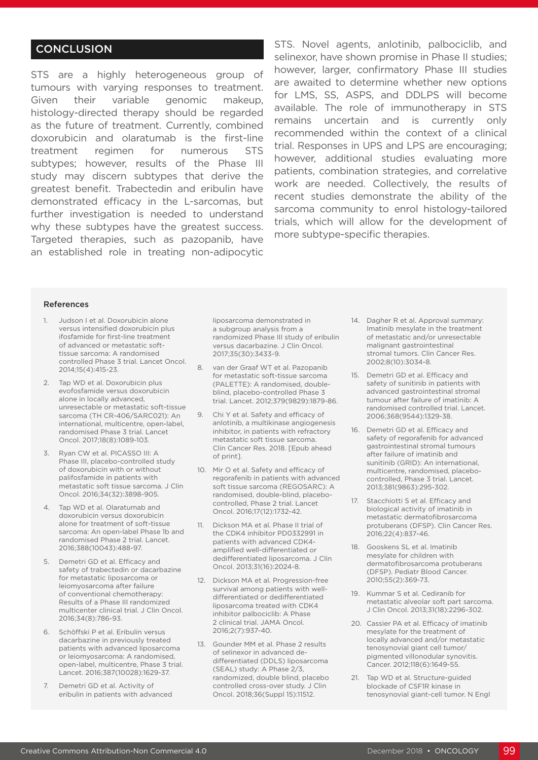## **CONCLUSION**

STS are a highly heterogeneous group of tumours with varying responses to treatment. Given their variable genomic makeup, histology-directed therapy should be regarded as the future of treatment. Currently, combined doxorubicin and olaratumab is the first-line treatment regimen for numerous STS subtypes; however, results of the Phase III study may discern subtypes that derive the greatest benefit. Trabectedin and eribulin have demonstrated efficacy in the L-sarcomas, but further investigation is needed to understand why these subtypes have the greatest success. Targeted therapies, such as pazopanib, have an established role in treating non-adipocytic

STS. Novel agents, anlotinib, palbociclib, and selinexor, have shown promise in Phase II studies; however, larger, confirmatory Phase III studies are awaited to determine whether new options for LMS, SS, ASPS, and DDLPS will become available. The role of immunotherapy in STS remains uncertain and is currently only recommended within the context of a clinical trial. Responses in UPS and LPS are encouraging; however, additional studies evaluating more patients, combination strategies, and correlative work are needed. Collectively, the results of recent studies demonstrate the ability of the sarcoma community to enrol histology-tailored trials, which will allow for the development of more subtype-specific therapies.

#### References

- 1. Judson I et al. Doxorubicin alone versus intensified doxorubicin plus ifosfamide for first-line treatment of advanced or metastatic softtissue sarcoma: A randomised controlled Phase 3 trial. Lancet Oncol. 2014;15(4):415-23.
- 2. Tap WD et al. Doxorubicin plus evofosfamide versus doxorubicin alone in locally advanced, unresectable or metastatic soft-tissue sarcoma (TH CR-406/SARC021): An international, multicentre, open-label, randomised Phase 3 trial. Lancet Oncol. 2017;18(8):1089-103.
- Ryan CW et al. PICASSO III: A Phase III, placebo-controlled study of doxorubicin with or without palifosfamide in patients with metastatic soft tissue sarcoma. J Clin Oncol. 2016;34(32):3898-905.
- 4. Tap WD et al. Olaratumab and doxorubicin versus doxorubicin alone for treatment of soft-tissue sarcoma: An open-label Phase 1b and randomised Phase 2 trial. Lancet. 2016;388(10043):488-97.
- 5. Demetri GD et al. Efficacy and safety of trabectedin or dacarbazine for metastatic liposarcoma or leiomyosarcoma after failure of conventional chemotherapy: Results of a Phase III randomized multicenter clinical trial. J Clin Oncol. 2016;34(8):786-93.
- 6. Schöffski P et al. Eribulin versus dacarbazine in previously treated patients with advanced liposarcoma or leiomyosarcoma: A randomised, open-label, multicentre, Phase 3 trial. Lancet. 2016;387(10028):1629-37.
- 7. Demetri GD et al. Activity of eribulin in patients with advanced

liposarcoma demonstrated in a subgroup analysis from a randomized Phase III study of eribulin versus dacarbazine. J Clin Oncol. 2017;35(30):3433-9.

- 8. van der Graaf WT et al. Pazopanib for metastatic soft-tissue sarcoma (PALETTE): A randomised, doubleblind, placebo-controlled Phase 3 trial. Lancet. 2012;379(9829):1879-86.
- 9. Chi Y et al. Safety and efficacy of anlotinib, a multikinase angiogenesis inhibitor, in patients with refractory metastatic soft tissue sarcoma. Clin Cancer Res. 2018. [Epub ahead of print].
- 10. Mir O et al. Safety and efficacy of regorafenib in patients with advanced soft tissue sarcoma (REGOSARC): A randomised, double-blind, placebocontrolled, Phase 2 trial. Lancet Oncol. 2016;17(12):1732-42.
- 11. Dickson MA et al. Phase II trial of the CDK4 inhibitor PD0332991 in patients with advanced CDK4 amplified well-differentiated or dedifferentiated liposarcoma. J Clin Oncol. 2013;31(16):2024-8.
- 12. Dickson MA et al. Progression-free survival among patients with welldifferentiated or dedifferentiated liposarcoma treated with CDK4 inhibitor palbociclib: A Phase 2 clinical trial. JAMA Oncol. 2016;2(7):937-40.
- 13. Gounder MM et al. Phase 2 results of selinexor in advanced dedifferentiated (DDLS) liposarcoma (SEAL) study: A Phase 2/3, randomized, double blind, placebo controlled cross-over study. J Clin Oncol. 2018;36(Suppl 15):11512.
- 14. Dagher R et al. Approval summary: Imatinib mesylate in the treatment of metastatic and/or unresectable malignant gastrointestinal stromal tumors. Clin Cancer Res. 2002;8(10):3034-8.
- 15. Demetri GD et al. Efficacy and safety of sunitinib in patients with advanced gastrointestinal stromal tumour after failure of imatinib: A randomised controlled trial. Lancet. 2006;368(9544):1329-38.
- 16. Demetri GD et al. Efficacy and safety of regorafenib for advanced gastrointestinal stromal tumours after failure of imatinib and sunitinib (GRID): An international, multicentre, randomised, placebocontrolled, Phase 3 trial. Lancet. 2013;381(9863):295-302.
- 17. Stacchiotti S et al. Efficacy and biological activity of imatinib in metastatic dermatofibrosarcoma protuberans (DFSP). Clin Cancer Res. 2016;22(4):837-46.
- 18. Gooskens SL et al. Imatinib mesylate for children with dermatofibrosarcoma protuberans (DFSP). Pediatr Blood Cancer. 2010;55(2):369-73.
- 19. Kummar S et al. Cediranib for metastatic alveolar soft part sarcoma. J Clin Oncol. 2013;31(18):2296-302.
- 20. Cassier PA et al. Efficacy of imatinib mesylate for the treatment of locally advanced and/or metastatic tenosynovial giant cell tumor/ pigmented villonodular synovitis. Cancer. 2012;118(6):1649-55.
- 21. Tap WD et al. Structure-guided blockade of CSF1R kinase in tenosynovial giant-cell tumor. N Engl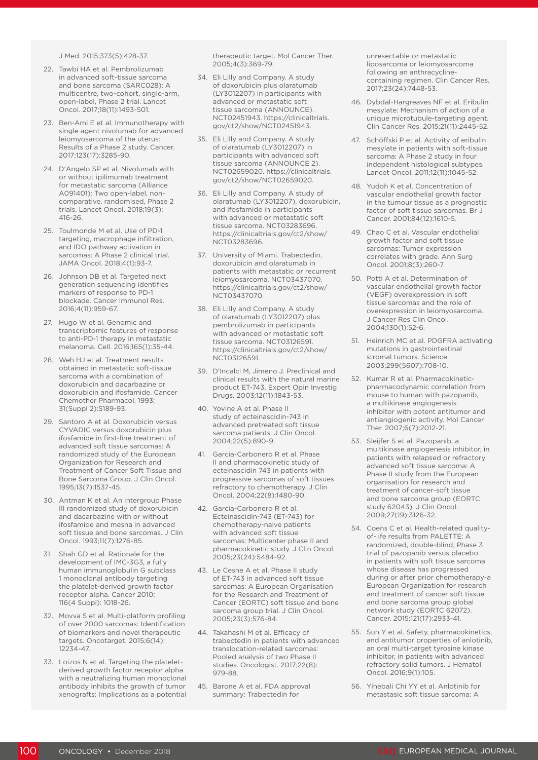J Med. 2015;373(5):428-37.

- 22. Tawbi HA et al. Pembrolizumab in advanced soft-tissue sarcoma and bone sarcoma (SARC028): A multicentre, two-cohort, single-arm, open-label, Phase 2 trial. Lancet Oncol. 2017;18(11):1493-501.
- 23. Ben-Ami E et al. Immunotherapy with single agent nivolumab for advanced leiomyosarcoma of the uterus: Results of a Phase 2 study. Cancer. 2017;123(17):3285-90.
- 24. D'Angelo SP et al. Nivolumab with or without ipilimumab treatment for metastatic sarcoma (Alliance A091401): Two open-label, noncomparative, randomised, Phase 2 trials. Lancet Oncol. 2018;19(3): 416-26.
- 25. Toulmonde M et al. Use of PD-1 targeting, macrophage infiltration, and IDO pathway activation in sarcomas: A Phase 2 clinical trial. JAMA Oncol. 2018;4(1):93-7.
- 26. Johnson DB et al. Targeted next generation sequencing identifies markers of response to PD-1 blockade. Cancer Immunol Res. 2016;4(11):959-67.
- 27. Hugo W et al. Genomic and transcriptomic features of response to anti-PD-1 therapy in metastatic melanoma. Cell. 2016;165(1):35-44.
- 28. Weh HJ et al. Treatment results obtained in metastatic soft-tissue sarcoma with a combination of doxorubicin and dacarbazine or doxorubicin and ifosfamide. Cancer Chemother Pharmacol. 1993; 31(Suppl 2):S189-93.
- 29. Santoro A et al. Doxorubicin versus CYVADIC versus doxorubicin plus ifosfamide in first-line treatment of advanced soft tissue sarcomas: A randomized study of the European Organization for Research and Treatment of Cancer Soft Tissue and Bone Sarcoma Group. J Clin Oncol. 1995;13(7):1537-45.
- 30. Antman K et al. An intergroup Phase III randomized study of doxorubicin and dacarbazine with or without ifosfamide and mesna in advanced soft tissue and bone sarcomas. J Clin Oncol. 1993;11(7):1276-85.
- 31. Shah GD et al. Rationale for the development of IMC-3G3, a fully human immunoglobulin G subclass 1 monoclonal antibody targeting the platelet-derived growth factor receptor alpha. Cancer 2010; 116(4 Suppl): 1018-26.
- 32. Movva S et al. Multi-platform profiling of over 2000 sarcomas: Identification of biomarkers and novel therapeutic targets. Oncotarget. 2015;6(14): 12234-47.
- 33. Loizos N et al. Targeting the plateletderived growth factor receptor alpha with a neutralizing human monoclonal antibody inhibits the growth of tumor xenografts: Implications as a potential

therapeutic target. Mol Cancer Ther. 2005;4(3):369-79.

- 34. Eli Lilly and Company. A study of doxorubicin plus olaratumab (LY3012207) in participants with advanced or metastatic soft tissue sarcoma (ANNOUNCE). NCT02451943. https://clinicaltrials. gov/ct2/show/NCT02451943.
- 35. Eli Lilly and Company. A study of olaratumab (LY3012207) in participants with advanced soft tissue sarcoma (ANNOUNCE 2). NCT02659020. https://clinicaltrials. gov/ct2/show/NCT02659020.
- 36. Eli Lilly and Company. A study of olaratumab (LY3012207), doxorubicin, and ifosfamide in participants with advanced or metastatic soft tissue sarcoma. NCT03283696. https://clinicaltrials.gov/ct2/show/ NCT03283696.
- 37. University of Miami. Trabectedin, doxorubicin and olaratumab in patients with metastatic or recurrent leiomyosarcoma. NCT03437070. https://clinicaltrials.gov/ct2/show/ NCT03437070.
- 38. Eli Lilly and Company. A study of olaratumab (LY3012207) plus pembrolizumab in participants with advanced or metastatic soft tissue sarcoma. NCT03126591. https://clinicaltrials.gov/ct2/show/ NCT03126591.
- 39. D'Incalci M, Jimeno J. Preclinical and clinical results with the natural marine product ET-743. Expert Opin Investig Drugs. 2003;12(11):1843-53.
- 40. Yovine A et al. Phase II study of ecteinascidin-743 in advanced pretreated soft tissue sarcoma patients. J Clin Oncol. 2004;22(5):890-9.
- 41. Garcia-Carbonero R et al. Phase II and pharmacokinetic study of ecteinascidin 743 in patients with progressive sarcomas of soft tissues refractory to chemotherapy. J Clin Oncol. 2004;22(8):1480-90.
- 42. Garcia-Carbonero R et al. Ecteinascidin-743 (ET-743) for chemotherapy-naive patients with advanced soft tissue sarcomas: Multicenter phase II and pharmacokinetic study. J Clin Oncol. 2005;23(24):5484-92.
- 43. Le Cesne A et al. Phase II study of ET-743 in advanced soft tissue sarcomas: A European Organisation for the Research and Treatment of Cancer (EORTC) soft tissue and bone sarcoma group trial. J Clin Oncol. 2005;23(3):576-84.
- 44. Takahashi M et al. Efficacy of trabectedin in patients with advanced translocation-related sarcomas: Pooled analysis of two Phase II studies. Oncologist. 2017;22(8): 979-88.
- 45. Barone A et al. FDA approval summary: Trabectedin for

unresectable or metastatic liposarcoma or leiomyosarcoma following an anthracyclinecontaining regimen. Clin Cancer Res. 2017;23(24):7448-53.

- 46. Dybdal-Hargreaves NF et al. Eribulin mesylate: Mechanism of action of a unique microtubule-targeting agent. Clin Cancer Res. 2015;21(11):2445-52.
- 47. Schöffski P et al. Activity of eribulin mesylate in patients with soft-tissue sarcoma: A Phase 2 study in four independent histological subtypes. Lancet Oncol. 2011;12(11):1045-52.
- 48. Yudoh K et al. Concentration of vascular endothelial growth factor in the tumour tissue as a prognostic factor of soft tissue sarcomas. Br J Cancer. 2001;84(12):1610-5.
- 49. Chao C et al. Vascular endothelial growth factor and soft tissue sarcomas: Tumor expression correlates with grade. Ann Surg Oncol. 2001;8(3):260-7.
- 50. Potti A et al. Determination of vascular endothelial growth factor (VEGF) overexpression in soft tissue sarcomas and the role of overexpression in leiomyosarcoma. J Cancer Res Clin Oncol. 2004;130(1):52-6.
- 51. Heinrich MC et al. PDGFRA activating mutations in gastrointestinal stromal tumors. Science. 2003;299(5607):708-10.
- 52. Kumar R et al. Pharmacokineticpharmacodynamic correlation from mouse to human with pazopanib, a multikinase angiogenesis inhibitor with potent antitumor and antiangiogenic activity. Mol Cancer Ther. 2007;6(7):2012-21.
- 53. Sleijfer S et al. Pazopanib, a multikinase angiogenesis inhibitor, in patients with relapsed or refractory advanced soft tissue sarcoma: A Phase II study from the European organisation for research and treatment of cancer-soft tissue and bone sarcoma group (EORTC study 62043). J Clin Oncol. 2009;27(19):3126-32.
- 54. Coens C et al. Health-related qualityof-life results from PALETTE: A randomized, double-blind, Phase 3 trial of pazopanib versus placebo in patients with soft tissue sarcoma whose disease has progressed during or after prior chemotherapy-a European Organization for research and treatment of cancer soft tissue and bone sarcoma group global network study (EORTC 62072). Cancer. 2015;121(17):2933-41.
- 55. Sun Y et al. Safety, pharmacokinetics, and antitumor properties of anlotinib, an oral multi-target tyrosine kinase inhibitor, in patients with advanced refractory solid tumors. J Hematol Oncol. 2016;9(1):105.
- 56. Yihebali Chi YY et al. Anlotinib for metastasic soft tissue sarcoma: A